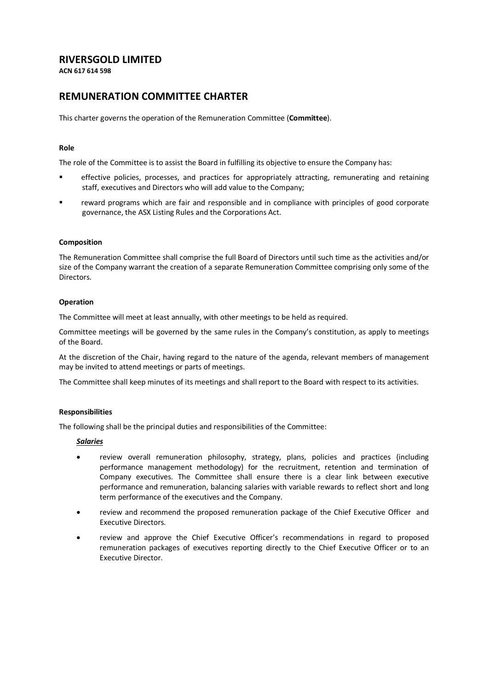# **RIVERSGOLD LIMITED**

**ACN 617 614 598**

# **REMUNERATION COMMITTEE CHARTER**

This charter governs the operation of the Remuneration Committee (**Committee**).

## **Role**

The role of the Committee is to assist the Board in fulfilling its objective to ensure the Company has:

- effective policies, processes, and practices for appropriately attracting, remunerating and retaining staff, executives and Directors who will add value to the Company;
- reward programs which are fair and responsible and in compliance with principles of good corporate governance, the ASX Listing Rules and the Corporations Act.

## **Composition**

The Remuneration Committee shall comprise the full Board of Directors until such time as the activities and/or size of the Company warrant the creation of a separate Remuneration Committee comprising only some of the Directors.

#### **Operation**

The Committee will meet at least annually, with other meetings to be held as required.

Committee meetings will be governed by the same rules in the Company's constitution, as apply to meetings of the Board.

At the discretion of the Chair, having regard to the nature of the agenda, relevant members of management may be invited to attend meetings or parts of meetings.

The Committee shall keep minutes of its meetings and shall report to the Board with respect to its activities.

#### **Responsibilities**

The following shall be the principal duties and responsibilities of the Committee:

#### *Salaries*

- review overall remuneration philosophy, strategy, plans, policies and practices (including performance management methodology) for the recruitment, retention and termination of Company executives. The Committee shall ensure there is a clear link between executive performance and remuneration, balancing salaries with variable rewards to reflect short and long term performance of the executives and the Company.
- review and recommend the proposed remuneration package of the Chief Executive Officer and Executive Directors.
- review and approve the Chief Executive Officer's recommendations in regard to proposed remuneration packages of executives reporting directly to the Chief Executive Officer or to an Executive Director.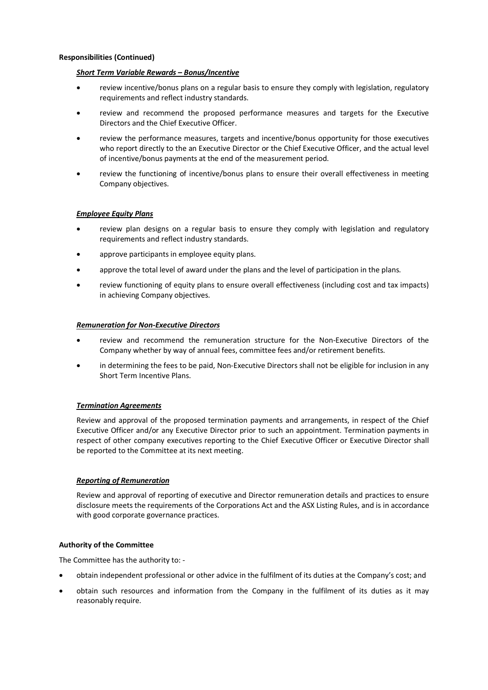#### **Responsibilities (Continued)**

#### *Short Term Variable Rewards – Bonus/Incentive*

- review incentive/bonus plans on a regular basis to ensure they comply with legislation, regulatory requirements and reflect industry standards.
- review and recommend the proposed performance measures and targets for the Executive Directors and the Chief Executive Officer.
- review the performance measures, targets and incentive/bonus opportunity for those executives who report directly to the an Executive Director or the Chief Executive Officer, and the actual level of incentive/bonus payments at the end of the measurement period.
- review the functioning of incentive/bonus plans to ensure their overall effectiveness in meeting Company objectives.

## *Employee Equity Plans*

- review plan designs on a regular basis to ensure they comply with legislation and regulatory requirements and reflect industry standards.
- approve participants in employee equity plans.
- approve the total level of award under the plans and the level of participation in the plans.
- review functioning of equity plans to ensure overall effectiveness (including cost and tax impacts) in achieving Company objectives.

# *Remuneration for Non-Executive Directors*

- review and recommend the remuneration structure for the Non-Executive Directors of the Company whether by way of annual fees, committee fees and/or retirement benefits.
- in determining the fees to be paid, Non-Executive Directors shall not be eligible for inclusion in any Short Term Incentive Plans.

#### *Termination Agreements*

Review and approval of the proposed termination payments and arrangements, in respect of the Chief Executive Officer and/or any Executive Director prior to such an appointment. Termination payments in respect of other company executives reporting to the Chief Executive Officer or Executive Director shall be reported to the Committee at its next meeting.

# *Reporting of Remuneration*

Review and approval of reporting of executive and Director remuneration details and practices to ensure disclosure meets the requirements of the Corporations Act and the ASX Listing Rules, and is in accordance with good corporate governance practices.

#### **Authority of the Committee**

The Committee has the authority to: -

- obtain independent professional or other advice in the fulfilment of its duties at the Company's cost; and
- obtain such resources and information from the Company in the fulfilment of its duties as it may reasonably require.